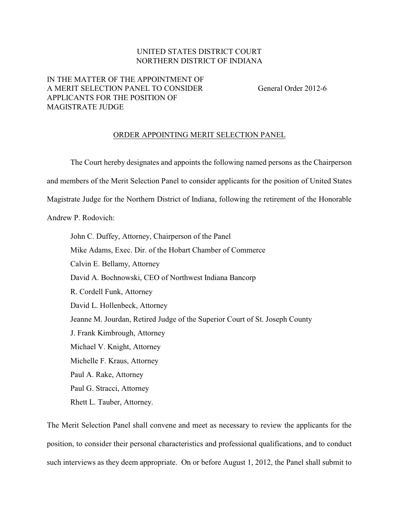## UNITED STATES DISTRICT COURT NORTHERN DISTRICT OF INDIANA

## IN THE MATTER OF THE APPOINTMENT OF A MERIT SELECTION PANEL TO CONSIDER General Order 2012-6 APPLICANTS FOR THE POSITION OF MAGISTRATE JUDGE

## ORDER APPOINTING MERIT SELECTION PANEL

The Court hereby designates and appoints the following named persons as the Chairperson and members of the Merit Selection Panel to consider applicants for the position of United States Magistrate Judge for the Northern District of Indiana, following the retirement of the Honorable Andrew P. Rodovich:

John C. Duffey, Attorney, Chairperson of the Panel Mike Adams, Exec. Dir. of the Hobart Chamber of Commerce Calvin E. Bellamy, Attorney David A. Bochnowski, CEO of Northwest Indiana Bancorp R. Cordell Funk, Attorney David L. Hollenbeck, Attorney Jeanne M. Jourdan, Retired Judge of the Superior Court of St. Joseph County J. Frank Kimbrough, Attorney Michael V. Knight, Attorney Michelle F. Kraus, Attorney Paul A. Rake, Attorney Paul G. Stracci, Attorney Rhett L. Tauber, Attorney.

The Merit Selection Panel shall convene and meet as necessary to review the applicants for the position, to consider their personal characteristics and professional qualifications, and to conduct such interviews as they deem appropriate. On or before August 1, 2012, the Panel shall submit to